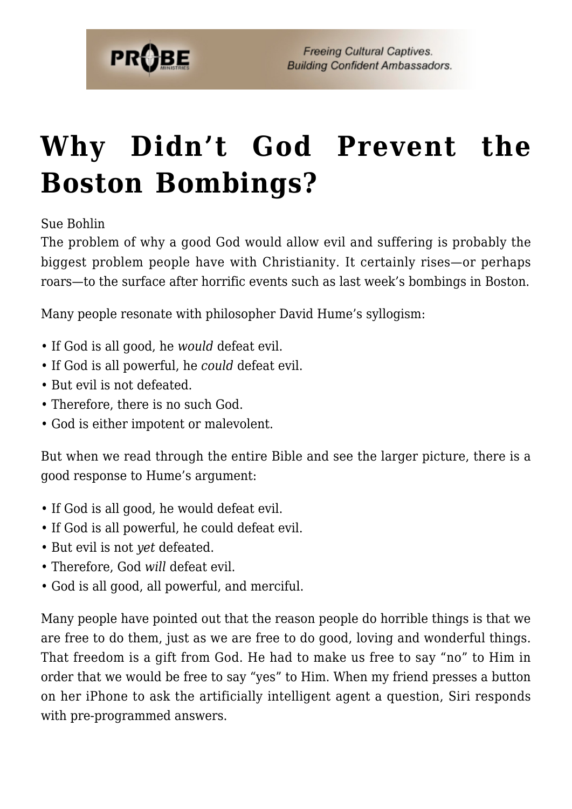

## **[Why Didn't God Prevent the](https://probe.org/why-didnt-god-prevent-the-boston-bombings/) [Boston Bombings?](https://probe.org/why-didnt-god-prevent-the-boston-bombings/)**

Sue Bohlin

The problem of why a good God would allow evil and suffering is probably the biggest problem people have with Christianity. It certainly rises—or perhaps roars—to the surface after horrific events such as last week's bombings in Boston.

Many people resonate with philosopher David Hume's syllogism:

- If God is all good, he *would* defeat evil.
- If God is all powerful, he *could* defeat evil.
- But evil is not defeated.
- Therefore, there is no such God.
- God is either impotent or malevolent.

But when we read through the entire Bible and see the larger picture, there is a good response to Hume's argument:

- If God is all good, he would defeat evil.
- If God is all powerful, he could defeat evil.
- But evil is not *yet* defeated.
- Therefore, God *will* defeat evil.
- God is all good, all powerful, and merciful.

Many people have pointed out that the reason people do horrible things is that we are free to do them, just as we are free to do good, loving and wonderful things. That freedom is a gift from God. He had to make us free to say "no" to Him in order that we would be free to say "yes" to Him. When my friend presses a button on her iPhone to ask the artificially intelligent agent a question, Siri responds with pre-programmed answers.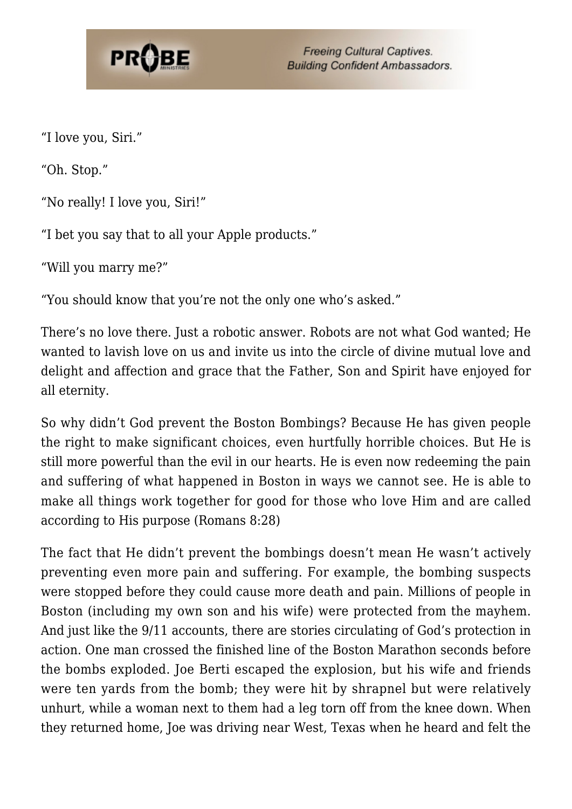## **PROBE**

**Freeing Cultural Captives. Building Confident Ambassadors.** 

"I love you, Siri."

"Oh. Stop."

"No really! I love you, Siri!"

"I bet you say that to all your Apple products."

"Will you marry me?"

"You should know that you're not the only one who's asked."

There's no love there. Just a robotic answer. Robots are not what God wanted; He wanted to lavish love on us and invite us into the circle of divine mutual love and delight and affection and grace that the Father, Son and Spirit have enjoyed for all eternity.

So why didn't God prevent the Boston Bombings? Because He has given people the right to make significant choices, even hurtfully horrible choices. But He is still more powerful than the evil in our hearts. He is even now redeeming the pain and suffering of what happened in Boston in ways we cannot see. He is able to make all things work together for good for those who love Him and are called according to His purpose (Romans 8:28)

The fact that He didn't prevent the bombings doesn't mean He wasn't actively preventing even more pain and suffering. For example, the bombing suspects were stopped before they could cause more death and pain. Millions of people in Boston (including my own son and his wife) were protected from the mayhem. And just like the 9/11 accounts, there are stories circulating of God's protection in action. One man crossed the finished line of the Boston Marathon seconds before the bombs exploded. Joe Berti escaped the explosion, but his wife and friends were ten yards from the bomb; they were hit by shrapnel but were relatively unhurt, while a woman next to them had a leg torn off from the knee down. When they returned home, Joe was driving near West, Texas when he heard and felt the